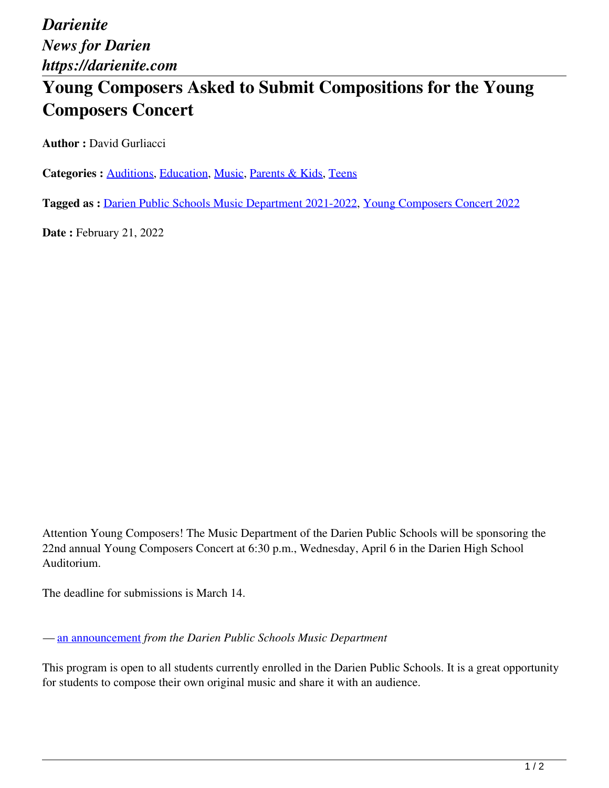*Darienite News for Darien https://darienite.com*

## **Young Composers Asked to Submit Compositions for the Young Composers Concert**

**Author :** David Gurliacci

**Categories :** [Auditions,](https://darienite.com/category/arts-entertainment/auditions) Education, Music, Parents & Kids, Teens

**Tagged as :** Darien Public Schools Music Department 2021-2022, Young Composers Concert 2022

**Date : February 21, 2022** 

Attention Young Composers! The Music Department of the Darien Public Schools will be sponsoring the 22nd annual Young Composers Concert at 6:30 p.m., Wednesday, April 6 in the Darien High School Auditorium.

The deadline for submissions is March 14.

*—* an announcement *from the Darien Public Schools Music Department*

This program is open to all students currently enrolled in the Darien Public Schools. It is a great opportunity for students to compose their own original music and share it with an audience.